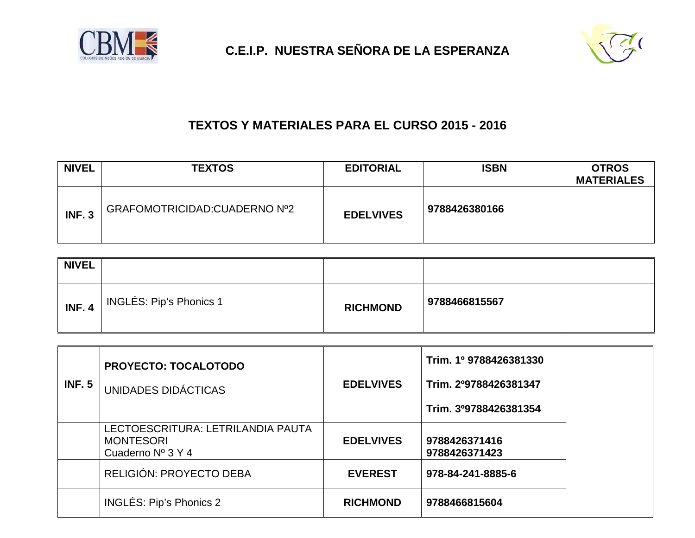



## **TEXTOS Y MATERIALES PARA EL CURSO 2015 - 2016**

| <b>NIVEL</b>  | <b>TEXTOS</b>                 | <b>EDITORIAL</b> | <b>ISBN</b>   | <b>OTROS</b><br><b>MATERIALES</b> |
|---------------|-------------------------------|------------------|---------------|-----------------------------------|
| <b>INF. 3</b> | GRAFOMOTRICIDAD: CUADERNO Nº2 | <b>EDELVIVES</b> | 9788426380166 |                                   |

| <b>NIVEL</b>  |                         |                 |               |  |
|---------------|-------------------------|-----------------|---------------|--|
| <b>INF. 4</b> | INGLÉS: Pip's Phonics 1 | <b>RICHMOND</b> | 9788466815567 |  |

| INF. 5 | <b>PROYECTO: TOCALOTODO</b><br>UNIDADES DIDÁCTICAS                         | <b>EDELVIVES</b> | Trim. 1º 9788426381330<br>Trim. 2º9788426381347<br>Trim. 3º9788426381354 |
|--------|----------------------------------------------------------------------------|------------------|--------------------------------------------------------------------------|
|        | LECTOESCRITURA: LETRILANDIA PAUTA<br><b>MONTESORI</b><br>Cuaderno Nº 3 Y 4 | <b>EDELVIVES</b> | 9788426371416<br>9788426371423                                           |
|        | RELIGIÓN: PROYECTO DEBA                                                    | <b>EVEREST</b>   | 978-84-241-8885-6                                                        |
|        | INGLÉS: Pip's Phonics 2                                                    | <b>RICHMOND</b>  | 9788466815604                                                            |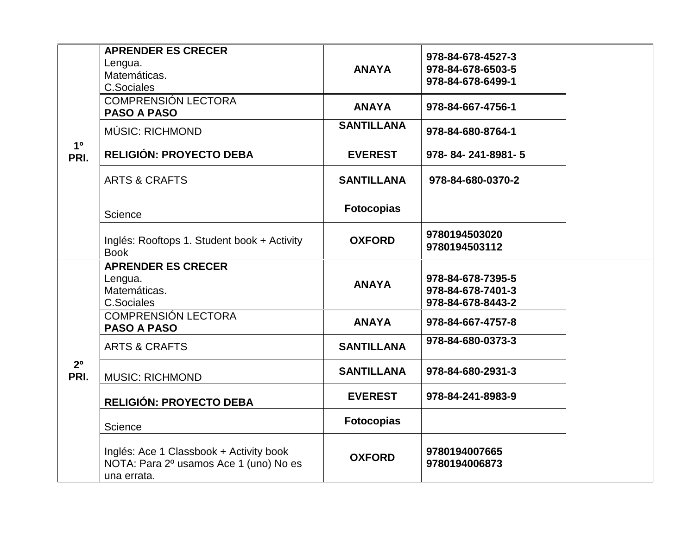|                        | <b>APRENDER ES CRECER</b><br>Lengua.<br>Matemáticas.<br><b>C.Sociales</b>                        | <b>ANAYA</b>      | 978-84-678-4527-3<br>978-84-678-6503-5<br>978-84-678-6499-1 |  |
|------------------------|--------------------------------------------------------------------------------------------------|-------------------|-------------------------------------------------------------|--|
|                        | <b>COMPRENSIÓN LECTORA</b><br><b>PASO A PASO</b>                                                 | <b>ANAYA</b>      | 978-84-667-4756-1                                           |  |
|                        | MÚSIC: RICHMOND                                                                                  | <b>SANTILLANA</b> | 978-84-680-8764-1                                           |  |
| 1 <sup>0</sup><br>PRI. | RELIGIÓN: PROYECTO DEBA                                                                          | <b>EVEREST</b>    | 978-84-241-8981-5                                           |  |
|                        | <b>ARTS &amp; CRAFTS</b>                                                                         | <b>SANTILLANA</b> | 978-84-680-0370-2                                           |  |
|                        | Science                                                                                          | <b>Fotocopias</b> |                                                             |  |
|                        | Inglés: Rooftops 1. Student book + Activity<br><b>Book</b>                                       | <b>OXFORD</b>     | 9780194503020<br>9780194503112                              |  |
|                        | <b>APRENDER ES CRECER</b><br>Lengua.<br>Matemáticas.<br><b>C.Sociales</b>                        | <b>ANAYA</b>      | 978-84-678-7395-5<br>978-84-678-7401-3<br>978-84-678-8443-2 |  |
|                        | <b>COMPRENSIÓN LECTORA</b><br><b>PASO A PASO</b>                                                 | <b>ANAYA</b>      | 978-84-667-4757-8                                           |  |
|                        | <b>ARTS &amp; CRAFTS</b>                                                                         | <b>SANTILLANA</b> | 978-84-680-0373-3                                           |  |
| 2 <sup>0</sup><br>PRI. | <b>MUSIC: RICHMOND</b>                                                                           | <b>SANTILLANA</b> | 978-84-680-2931-3                                           |  |
|                        | <b>RELIGIÓN: PROYECTO DEBA</b>                                                                   | <b>EVEREST</b>    | 978-84-241-8983-9                                           |  |
|                        | Science                                                                                          | <b>Fotocopias</b> |                                                             |  |
|                        | Inglés: Ace 1 Classbook + Activity book<br>NOTA: Para 2º usamos Ace 1 (uno) No es<br>una errata. | <b>OXFORD</b>     | 9780194007665<br>9780194006873                              |  |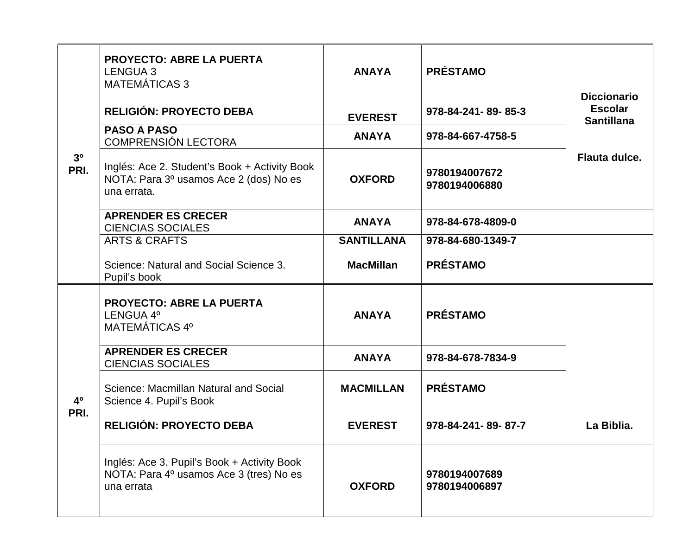| 3 <sup>o</sup><br>PRI. | <b>PROYECTO: ABRE LA PUERTA</b><br><b>LENGUA 3</b><br><b>MATEMÁTICAS 3</b>                             | <b>ANAYA</b>      | <b>PRÉSTAMO</b>                | <b>Diccionario</b>                  |
|------------------------|--------------------------------------------------------------------------------------------------------|-------------------|--------------------------------|-------------------------------------|
|                        | <b>RELIGIÓN: PROYECTO DEBA</b>                                                                         | <b>EVEREST</b>    | 978-84-241-89-85-3             | <b>Escolar</b><br><b>Santillana</b> |
|                        | <b>PASO A PASO</b><br>COMPRENSIÓN LECTORA                                                              | <b>ANAYA</b>      | 978-84-667-4758-5              |                                     |
|                        | Inglés: Ace 2. Student's Book + Activity Book<br>NOTA: Para 3º usamos Ace 2 (dos) No es<br>una errata. | <b>OXFORD</b>     | 9780194007672<br>9780194006880 | Flauta dulce.                       |
|                        | <b>APRENDER ES CRECER</b><br><b>CIENCIAS SOCIALES</b>                                                  | <b>ANAYA</b>      | 978-84-678-4809-0              |                                     |
|                        | <b>ARTS &amp; CRAFTS</b>                                                                               | <b>SANTILLANA</b> | 978-84-680-1349-7              |                                     |
|                        | Science: Natural and Social Science 3.<br>Pupil's book                                                 | <b>MacMillan</b>  | <b>PRÉSTAMO</b>                |                                     |
|                        | <b>PROYECTO: ABRE LA PUERTA</b><br>LENGUA 4°<br>MATEMÁTICAS 4º                                         | <b>ANAYA</b>      | <b>PRÉSTAMO</b>                |                                     |
|                        | <b>APRENDER ES CRECER</b><br><b>CIENCIAS SOCIALES</b>                                                  | <b>ANAYA</b>      | 978-84-678-7834-9              |                                     |
| 4 <sup>0</sup><br>PRI. | Science: Macmillan Natural and Social<br>Science 4. Pupil's Book                                       | <b>MACMILLAN</b>  | <b>PRÉSTAMO</b>                |                                     |
|                        | RELIGIÓN: PROYECTO DEBA                                                                                | <b>EVEREST</b>    | 978-84-241-89-87-7             | La Biblia.                          |
|                        | Inglés: Ace 3. Pupil's Book + Activity Book<br>NOTA: Para 4º usamos Ace 3 (tres) No es<br>una errata   | <b>OXFORD</b>     | 9780194007689<br>9780194006897 |                                     |